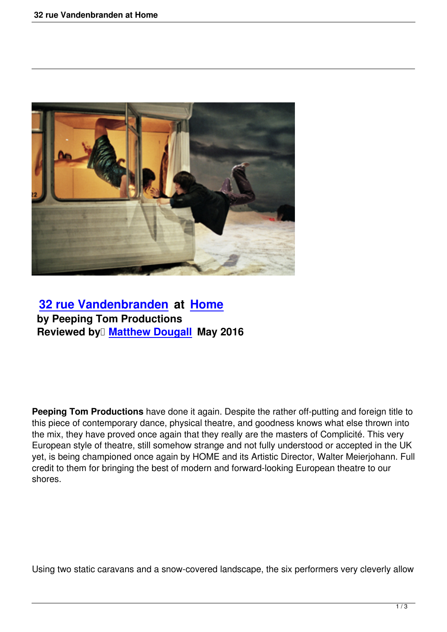

 **32 rue Vandenbranden at Home by Peeping Tom Productions [Reviewed by](32-rue-vandenbranden-at-home.html) <del>Matthew Dougall</del> May 2016** 

**Peeping Tom Productions** have done it again. Despite the rather off-putting and foreign title to this piece of contemporary dance, physical theatre, and goodness knows what else thrown into the mix, they have proved once again that they really are the masters of Complicité. This very European style of theatre, still somehow strange and not fully understood or accepted in the UK yet, is being championed once again by HOME and its Artistic Director, Walter Meierjohann. Full credit to them for bringing the best of modern and forward-looking European theatre to our shores.

Using two static caravans and a snow-covered landscape, the six performers very cleverly allow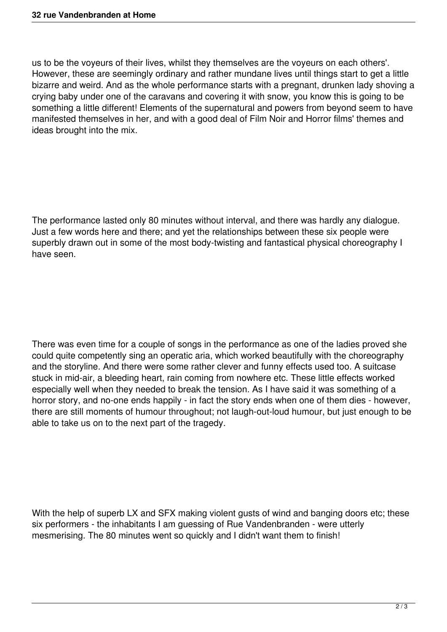us to be the voyeurs of their lives, whilst they themselves are the voyeurs on each others'. However, these are seemingly ordinary and rather mundane lives until things start to get a little bizarre and weird. And as the whole performance starts with a pregnant, drunken lady shoving a crying baby under one of the caravans and covering it with snow, you know this is going to be something a little different! Elements of the supernatural and powers from beyond seem to have manifested themselves in her, and with a good deal of Film Noir and Horror films' themes and ideas brought into the mix.

The performance lasted only 80 minutes without interval, and there was hardly any dialogue. Just a few words here and there; and yet the relationships between these six people were superbly drawn out in some of the most body-twisting and fantastical physical choreography I have seen.

There was even time for a couple of songs in the performance as one of the ladies proved she could quite competently sing an operatic aria, which worked beautifully with the choreography and the storyline. And there were some rather clever and funny effects used too. A suitcase stuck in mid-air, a bleeding heart, rain coming from nowhere etc. These little effects worked especially well when they needed to break the tension. As I have said it was something of a horror story, and no-one ends happily - in fact the story ends when one of them dies - however, there are still moments of humour throughout; not laugh-out-loud humour, but just enough to be able to take us on to the next part of the tragedy.

With the help of superb LX and SFX making violent gusts of wind and banging doors etc; these six performers - the inhabitants I am guessing of Rue Vandenbranden - were utterly mesmerising. The 80 minutes went so quickly and I didn't want them to finish!